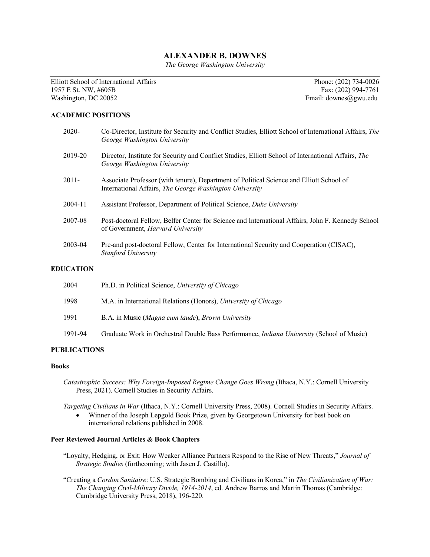## **ALEXANDER B. DOWNES**

*The George Washington University*

Elliott School of International Affairs Phone: (202) 734-0026 1957 E St. NW, #605B Fax: (202) 994-7761<br>
Washington, DC 20052 Fax: (202) 994-7761<br>
Fax: (202) 994-7761

Email: downes@gwu.edu

#### **ACADEMIC POSITIONS**

| $2020 -$ | Co-Director, Institute for Security and Conflict Studies, Elliott School of International Affairs, The<br>George Washington University              |
|----------|-----------------------------------------------------------------------------------------------------------------------------------------------------|
| 2019-20  | Director, Institute for Security and Conflict Studies, Elliott School of International Affairs, The<br>George Washington University                 |
| $2011 -$ | Associate Professor (with tenure), Department of Political Science and Elliott School of<br>International Affairs, The George Washington University |
| 2004-11  | Assistant Professor, Department of Political Science, Duke University                                                                               |
| 2007-08  | Post-doctoral Fellow, Belfer Center for Science and International Affairs, John F. Kennedy School<br>of Government, <i>Harvard University</i>       |
| 2003-04  | Pre-and post-doctoral Fellow, Center for International Security and Cooperation (CISAC),<br>Stanford University                                     |
| UCATION  |                                                                                                                                                     |

# **EDUCATION**

| 2004    | Ph.D. in Political Science, University of Chicago                                                |
|---------|--------------------------------------------------------------------------------------------------|
| 1998    | M.A. in International Relations (Honors), University of Chicago                                  |
| 1991    | B.A. in Music (Magna cum laude), Brown University                                                |
| 1991-94 | Graduate Work in Orchestral Double Bass Performance, <i>Indiana University</i> (School of Music) |

### **PUBLICATIONS**

#### **Books**

*Catastrophic Success: Why Foreign-Imposed Regime Change Goes Wrong* (Ithaca, N.Y.: Cornell University Press, 2021). Cornell Studies in Security Affairs.

*Targeting Civilians in War* (Ithaca, N.Y.: Cornell University Press, 2008). Cornell Studies in Security Affairs. • Winner of the Joseph Lepgold Book Prize, given by Georgetown University for best book on international relations published in 2008.

## **Peer Reviewed Journal Articles & Book Chapters**

- "Loyalty, Hedging, or Exit: How Weaker Alliance Partners Respond to the Rise of New Threats," *Journal of Strategic Studies* (forthcoming; with Jasen J. Castillo).
- "Creating a *Cordon Sanitaire*: U.S. Strategic Bombing and Civilians in Korea," in *The Civilianization of War: The Changing Civil-Military Divide, 1914-2014*, ed. Andrew Barros and Martin Thomas (Cambridge: Cambridge University Press, 2018), 196-220.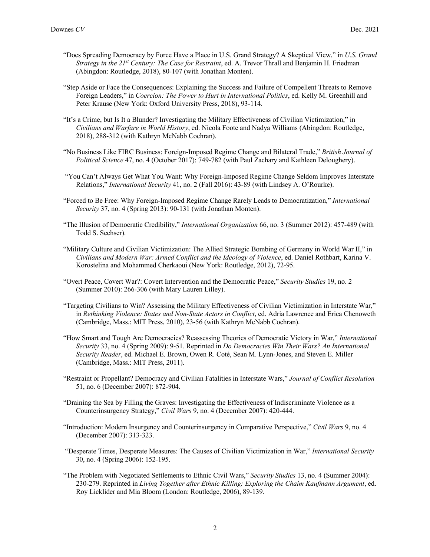- "Does Spreading Democracy by Force Have a Place in U.S. Grand Strategy? A Skeptical View," in *U.S. Grand Strategy in the 21st Century: The Case for Restraint*, ed. A. Trevor Thrall and Benjamin H. Friedman (Abingdon: Routledge, 2018), 80-107 (with Jonathan Monten).
- "Step Aside or Face the Consequences: Explaining the Success and Failure of Compellent Threats to Remove Foreign Leaders," in *Coercion: The Power to Hurt in International Politics*, ed. Kelly M. Greenhill and Peter Krause (New York: Oxford University Press, 2018), 93-114.
- "It's a Crime, but Is It a Blunder? Investigating the Military Effectiveness of Civilian Victimization," in *Civilians and Warfare in World History*, ed. Nicola Foote and Nadya Williams (Abingdon: Routledge, 2018), 288-312 (with Kathryn McNabb Cochran).
- "No Business Like FIRC Business: Foreign-Imposed Regime Change and Bilateral Trade," *British Journal of Political Science* 47, no. 4 (October 2017): 749-782 (with Paul Zachary and Kathleen Deloughery).
- "You Can't Always Get What You Want: Why Foreign-Imposed Regime Change Seldom Improves Interstate Relations," *International Security* 41, no. 2 (Fall 2016): 43-89 (with Lindsey A. O'Rourke).
- "Forced to Be Free: Why Foreign-Imposed Regime Change Rarely Leads to Democratization," *International Security* 37, no. 4 (Spring 2013): 90-131 (with Jonathan Monten).
- "The Illusion of Democratic Credibility," *International Organization* 66, no. 3 (Summer 2012): 457-489 (with Todd S. Sechser).
- "Military Culture and Civilian Victimization: The Allied Strategic Bombing of Germany in World War II," in *Civilians and Modern War: Armed Conflict and the Ideology of Violence*, ed. Daniel Rothbart, Karina V. Korostelina and Mohammed Cherkaoui (New York: Routledge, 2012), 72-95.
- "Overt Peace, Covert War?: Covert Intervention and the Democratic Peace," *Security Studies* 19, no. 2 (Summer 2010): 266-306 (with Mary Lauren Lilley).
- "Targeting Civilians to Win? Assessing the Military Effectiveness of Civilian Victimization in Interstate War," in *Rethinking Violence: States and Non-State Actors in Conflict*, ed. Adria Lawrence and Erica Chenoweth (Cambridge, Mass.: MIT Press, 2010), 23-56 (with Kathryn McNabb Cochran).
- "How Smart and Tough Are Democracies? Reassessing Theories of Democratic Victory in War," *International Security* 33, no. 4 (Spring 2009): 9-51. Reprinted in *Do Democracies Win Their Wars? An International Security Reader*, ed. Michael E. Brown, Owen R. Coté, Sean M. Lynn-Jones, and Steven E. Miller (Cambridge, Mass.: MIT Press, 2011).
- "Restraint or Propellant? Democracy and Civilian Fatalities in Interstate Wars," *Journal of Conflict Resolution* 51, no. 6 (December 2007): 872-904.
- "Draining the Sea by Filling the Graves: Investigating the Effectiveness of Indiscriminate Violence as a Counterinsurgency Strategy," *Civil Wars* 9, no. 4 (December 2007): 420-444.
- "Introduction: Modern Insurgency and Counterinsurgency in Comparative Perspective," *Civil Wars* 9, no. 4 (December 2007): 313-323.
- "Desperate Times, Desperate Measures: The Causes of Civilian Victimization in War," *International Security* 30, no. 4 (Spring 2006): 152-195.
- "The Problem with Negotiated Settlements to Ethnic Civil Wars," *Security Studies* 13, no. 4 (Summer 2004): 230-279. Reprinted in *Living Together after Ethnic Killing: Exploring the Chaim Kaufmann Argument*, ed. Roy Licklider and Mia Bloom (London: Routledge, 2006), 89-139.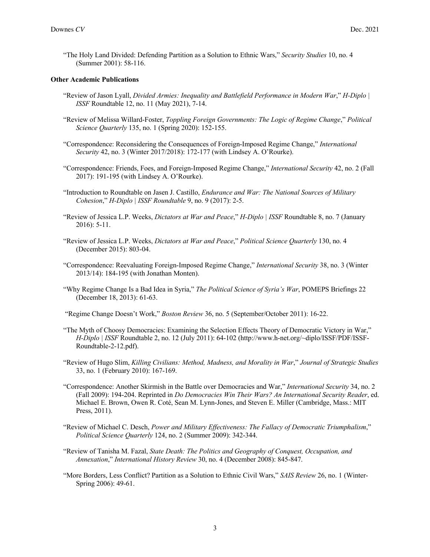"The Holy Land Divided: Defending Partition as a Solution to Ethnic Wars," *Security Studies* 10, no. 4 (Summer 2001): 58-116.

#### **Other Academic Publications**

- "Review of Jason Lyall, *Divided Armies: Inequality and Battlefield Performance in Modern War*," *H-Diplo | ISSF* Roundtable 12, no. 11 (May 2021), 7-14.
- "Review of Melissa Willard-Foster, *Toppling Foreign Governments: The Logic of Regime Change*," *Political Science Quarterly* 135, no. 1 (Spring 2020): 152-155.
- "Correspondence: Reconsidering the Consequences of Foreign-Imposed Regime Change," *International Security* 42, no. 3 (Winter 2017/2018): 172-177 (with Lindsey A. O'Rourke).
- "Correspondence: Friends, Foes, and Foreign-Imposed Regime Change," *International Security* 42, no. 2 (Fall 2017): 191-195 (with Lindsey A. O'Rourke).
- "Introduction to Roundtable on Jasen J. Castillo, *Endurance and War: The National Sources of Military Cohesion*," *H-Diplo | ISSF Roundtable* 9, no. 9 (2017): 2-5.
- "Review of Jessica L.P. Weeks, *Dictators at War and Peace*," *H-Diplo | ISSF* Roundtable 8, no. 7 (January 2016): 5-11.
- "Review of Jessica L.P. Weeks, *Dictators at War and Peace*," *Political Science Quarterly* 130, no. 4 (December 2015): 803-04.
- "Correspondence: Reevaluating Foreign-Imposed Regime Change," *International Security* 38, no. 3 (Winter 2013/14): 184-195 (with Jonathan Monten).
- "Why Regime Change Is a Bad Idea in Syria," *The Political Science of Syria's War*, POMEPS Briefings 22 (December 18, 2013): 61-63.

"Regime Change Doesn't Work," *Boston Review* 36, no. 5 (September/October 2011): 16-22.

- "The Myth of Choosy Democracies: Examining the Selection Effects Theory of Democratic Victory in War," *H-Diplo | ISSF* Roundtable 2, no. 12 (July 2011): 64-102 (http://www.h-net.org/~diplo/ISSF/PDF/ISSF-Roundtable-2-12.pdf).
- "Review of Hugo Slim, *Killing Civilians: Method, Madness, and Morality in War*," *Journal of Strategic Studies* 33, no. 1 (February 2010): 167-169.
- "Correspondence: Another Skirmish in the Battle over Democracies and War," *International Security* 34, no. 2 (Fall 2009): 194-204. Reprinted in *Do Democracies Win Their Wars? An International Security Reader*, ed. Michael E. Brown, Owen R. Coté, Sean M. Lynn-Jones, and Steven E. Miller (Cambridge, Mass.: MIT Press, 2011).
- "Review of Michael C. Desch, *Power and Military Effectiveness: The Fallacy of Democratic Triumphalism*," *Political Science Quarterly* 124, no. 2 (Summer 2009): 342-344.
- "Review of Tanisha M. Fazal, *State Death: The Politics and Geography of Conquest, Occupation, and Annexation*," *International History Review* 30, no. 4 (December 2008): 845-847.
- "More Borders, Less Conflict? Partition as a Solution to Ethnic Civil Wars," *SAIS Review* 26, no. 1 (Winter-Spring 2006): 49-61.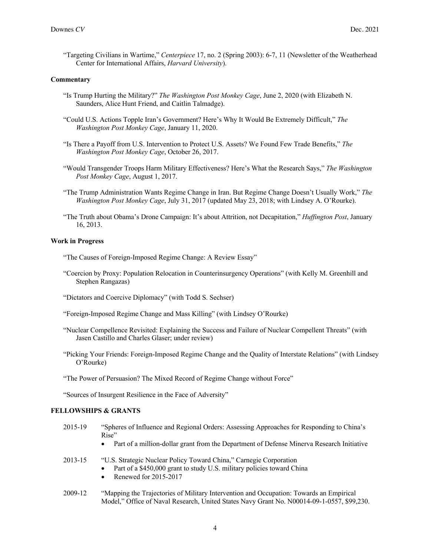"Targeting Civilians in Wartime," *Centerpiece* 17, no. 2 (Spring 2003): 6-7, 11 (Newsletter of the Weatherhead Center for International Affairs, *Harvard University*).

#### **Commentary**

- "Is Trump Hurting the Military?" *The Washington Post Monkey Cage*, June 2, 2020 (with Elizabeth N. Saunders, Alice Hunt Friend, and Caitlin Talmadge).
- "Could U.S. Actions Topple Iran's Government? Here's Why It Would Be Extremely Difficult," *The Washington Post Monkey Cage*, January 11, 2020.
- "Is There a Payoff from U.S. Intervention to Protect U.S. Assets? We Found Few Trade Benefits," *The Washington Post Monkey Cage*, October 26, 2017.
- "Would Transgender Troops Harm Military Effectiveness? Here's What the Research Says," *The Washington Post Monkey Cage*, August 1, 2017.
- "The Trump Administration Wants Regime Change in Iran. But Regime Change Doesn't Usually Work," *The Washington Post Monkey Cage*, July 31, 2017 (updated May 23, 2018; with Lindsey A. O'Rourke).
- "The Truth about Obama's Drone Campaign: It's about Attrition, not Decapitation," *Huffington Post*, January 16, 2013.

#### **Work in Progress**

- "The Causes of Foreign-Imposed Regime Change: A Review Essay"
- "Coercion by Proxy: Population Relocation in Counterinsurgency Operations" (with Kelly M. Greenhill and Stephen Rangazas)
- "Dictators and Coercive Diplomacy" (with Todd S. Sechser)
- "Foreign-Imposed Regime Change and Mass Killing" (with Lindsey O'Rourke)
- "Nuclear Compellence Revisited: Explaining the Success and Failure of Nuclear Compellent Threats" (with Jasen Castillo and Charles Glaser; under review)
- "Picking Your Friends: Foreign-Imposed Regime Change and the Quality of Interstate Relations" (with Lindsey O'Rourke)
- "The Power of Persuasion? The Mixed Record of Regime Change without Force"

"Sources of Insurgent Resilience in the Face of Adversity"

## **FELLOWSHIPS & GRANTS**

- 2015-19 "Spheres of Influence and Regional Orders: Assessing Approaches for Responding to China's Rise"
	- Part of a million-dollar grant from the Department of Defense Minerva Research Initiative
- 2013-15 "U.S. Strategic Nuclear Policy Toward China," Carnegie Corporation
	- Part of a \$450,000 grant to study U.S. military policies toward China
	- Renewed for 2015-2017
- 2009-12 "Mapping the Trajectories of Military Intervention and Occupation: Towards an Empirical Model," Office of Naval Research, United States Navy Grant No. N00014-09-1-0557, \$99,230.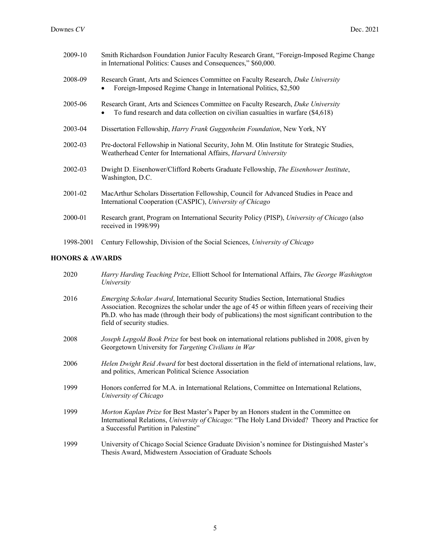| 2009-10   | Smith Richardson Foundation Junior Faculty Research Grant, "Foreign-Imposed Regime Change<br>in International Politics: Causes and Consequences," \$60,000.          |
|-----------|----------------------------------------------------------------------------------------------------------------------------------------------------------------------|
| 2008-09   | Research Grant, Arts and Sciences Committee on Faculty Research, Duke University<br>Foreign-Imposed Regime Change in International Politics, \$2,500                 |
| 2005-06   | Research Grant, Arts and Sciences Committee on Faculty Research, Duke University<br>To fund research and data collection on civilian casualties in warfare (\$4,618) |
| 2003-04   | Dissertation Fellowship, <i>Harry Frank Guggenheim Foundation</i> , New York, NY                                                                                     |
| 2002-03   | Pre-doctoral Fellowship in National Security, John M. Olin Institute for Strategic Studies,<br>Weatherhead Center for International Affairs, Harvard University      |
| 2002-03   | Dwight D. Eisenhower/Clifford Roberts Graduate Fellowship, The Eisenhower Institute,<br>Washington, D.C.                                                             |
| 2001-02   | MacArthur Scholars Dissertation Fellowship, Council for Advanced Studies in Peace and<br>International Cooperation (CASPIC), University of Chicago                   |
| 2000-01   | Research grant, Program on International Security Policy (PISP), University of Chicago (also<br>received in 1998/99)                                                 |
| 1998-2001 | Century Fellowship, Division of the Social Sciences, University of Chicago                                                                                           |

## **HONORS & AWARDS**

| 2020 | <i>Harry Harding Teaching Prize, Elliott School for International Affairs, The George Washington</i><br>University                                                                                                                                                                                                            |
|------|-------------------------------------------------------------------------------------------------------------------------------------------------------------------------------------------------------------------------------------------------------------------------------------------------------------------------------|
| 2016 | Emerging Scholar Award, International Security Studies Section, International Studies<br>Association. Recognizes the scholar under the age of 45 or within fifteen years of receiving their<br>Ph.D. who has made (through their body of publications) the most significant contribution to the<br>field of security studies. |
| 2008 | Joseph Lepgold Book Prize for best book on international relations published in 2008, given by<br>Georgetown University for Targeting Civilians in War                                                                                                                                                                        |
| 2006 | Helen Dwight Reid Award for best doctoral dissertation in the field of international relations, law,<br>and politics, American Political Science Association                                                                                                                                                                  |
| 1999 | Honors conferred for M.A. in International Relations, Committee on International Relations,<br>University of Chicago                                                                                                                                                                                                          |
| 1999 | Morton Kaplan Prize for Best Master's Paper by an Honors student in the Committee on<br>International Relations, University of Chicago: "The Holy Land Divided? Theory and Practice for<br>a Successful Partition in Palestine"                                                                                               |
| 1999 | University of Chicago Social Science Graduate Division's nominee for Distinguished Master's<br>Thesis Award, Midwestern Association of Graduate Schools                                                                                                                                                                       |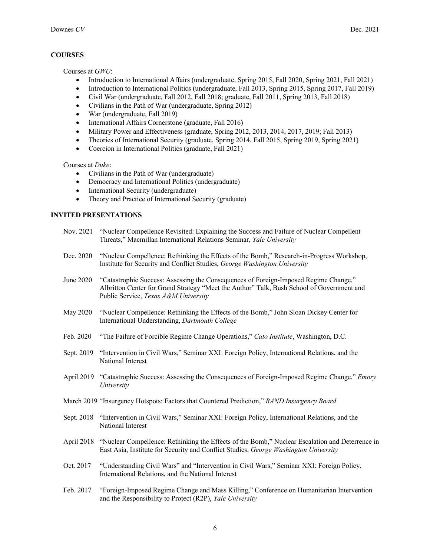## **COURSES**

Courses at *GWU*:

- Introduction to International Affairs (undergraduate, Spring 2015, Fall 2020, Spring 2021, Fall 2021)
- Introduction to International Politics (undergraduate, Fall 2013, Spring 2015, Spring 2017, Fall 2019)
- Civil War (undergraduate, Fall 2012, Fall 2018; graduate, Fall 2011, Spring 2013, Fall 2018)
- Civilians in the Path of War (undergraduate, Spring 2012)
- War (undergraduate, Fall 2019)
- International Affairs Cornerstone (graduate, Fall 2016)
- Military Power and Effectiveness (graduate, Spring 2012, 2013, 2014, 2017, 2019; Fall 2013)
- Theories of International Security (graduate, Spring 2014, Fall 2015, Spring 2019, Spring 2021)
- Coercion in International Politics (graduate, Fall 2021)

Courses at *Duke*:

- Civilians in the Path of War (undergraduate)
- Democracy and International Politics (undergraduate)
- International Security (undergraduate)
- Theory and Practice of International Security (graduate)

## **INVITED PRESENTATIONS**

- Nov. 2021 "Nuclear Compellence Revisited: Explaining the Success and Failure of Nuclear Compellent Threats," Macmillan International Relations Seminar, *Yale University*
- Dec. 2020 "Nuclear Compellence: Rethinking the Effects of the Bomb," Research-in-Progress Workshop, Institute for Security and Conflict Studies, *George Washington University*
- June 2020 "Catastrophic Success: Assessing the Consequences of Foreign-Imposed Regime Change," Albritton Center for Grand Strategy "Meet the Author" Talk, Bush School of Government and Public Service, *Texas A&M University*
- May 2020 "Nuclear Compellence: Rethinking the Effects of the Bomb," John Sloan Dickey Center for International Understanding, *Dartmouth College*
- Feb. 2020 "The Failure of Forcible Regime Change Operations," *Cato Institute*, Washington, D.C.
- Sept. 2019 "Intervention in Civil Wars," Seminar XXI: Foreign Policy, International Relations, and the National Interest
- April 2019 "Catastrophic Success: Assessing the Consequences of Foreign-Imposed Regime Change," *Emory University*
- March 2019 "Insurgency Hotspots: Factors that Countered Prediction," *RAND Insurgency Board*
- Sept. 2018 "Intervention in Civil Wars," Seminar XXI: Foreign Policy, International Relations, and the National Interest
- April 2018 "Nuclear Compellence: Rethinking the Effects of the Bomb," Nuclear Escalation and Deterrence in East Asia, Institute for Security and Conflict Studies, *George Washington University*
- Oct. 2017 "Understanding Civil Wars" and "Intervention in Civil Wars," Seminar XXI: Foreign Policy, International Relations, and the National Interest
- Feb. 2017 "Foreign-Imposed Regime Change and Mass Killing," Conference on Humanitarian Intervention and the Responsibility to Protect (R2P), *Yale University*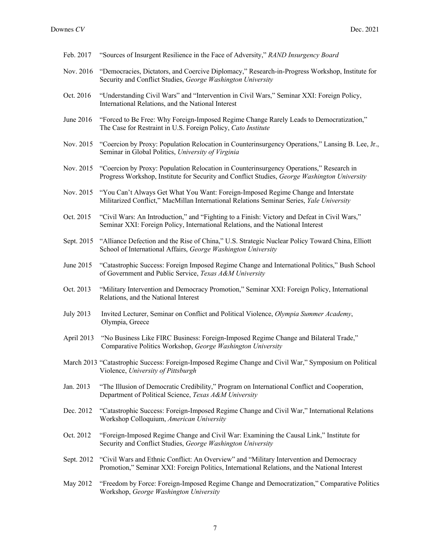Feb. 2017 "Sources of Insurgent Resilience in the Face of Adversity," *RAND Insurgency Board* Nov. 2016 "Democracies, Dictators, and Coercive Diplomacy," Research-in-Progress Workshop, Institute for Security and Conflict Studies, *George Washington University* Oct. 2016 "Understanding Civil Wars" and "Intervention in Civil Wars," Seminar XXI: Foreign Policy, International Relations, and the National Interest June 2016 "Forced to Be Free: Why Foreign-Imposed Regime Change Rarely Leads to Democratization," The Case for Restraint in U.S. Foreign Policy, *Cato Institute* Nov. 2015 "Coercion by Proxy: Population Relocation in Counterinsurgency Operations," Lansing B. Lee, Jr., Seminar in Global Politics, *University of Virginia* Nov. 2015 "Coercion by Proxy: Population Relocation in Counterinsurgency Operations," Research in Progress Workshop, Institute for Security and Conflict Studies, *George Washington University* Nov. 2015 "You Can't Always Get What You Want: Foreign-Imposed Regime Change and Interstate Militarized Conflict," MacMillan International Relations Seminar Series, *Yale University* Oct. 2015 "Civil Wars: An Introduction," and "Fighting to a Finish: Victory and Defeat in Civil Wars," Seminar XXI: Foreign Policy, International Relations, and the National Interest Sept. 2015 "Alliance Defection and the Rise of China," U.S. Strategic Nuclear Policy Toward China, Elliott School of International Affairs, *George Washington University* June 2015 "Catastrophic Success: Foreign Imposed Regime Change and International Politics," Bush School of Government and Public Service, *Texas A&M University* Oct. 2013 "Military Intervention and Democracy Promotion," Seminar XXI: Foreign Policy, International Relations, and the National Interest July 2013 Invited Lecturer, Seminar on Conflict and Political Violence, *Olympia Summer Academy*, Olympia, Greece April 2013 "No Business Like FIRC Business: Foreign-Imposed Regime Change and Bilateral Trade," Comparative Politics Workshop, *George Washington University* March 2013 "Catastrophic Success: Foreign-Imposed Regime Change and Civil War," Symposium on Political Violence, *University of Pittsburgh* Jan. 2013 "The Illusion of Democratic Credibility," Program on International Conflict and Cooperation, Department of Political Science, *Texas A&M University* Dec. 2012 "Catastrophic Success: Foreign-Imposed Regime Change and Civil War," International Relations Workshop Colloquium, *American University* Oct. 2012 "Foreign-Imposed Regime Change and Civil War: Examining the Causal Link," Institute for Security and Conflict Studies, *George Washington University* Sept. 2012 "Civil Wars and Ethnic Conflict: An Overview" and "Military Intervention and Democracy Promotion," Seminar XXI: Foreign Politics, International Relations, and the National Interest May 2012 "Freedom by Force: Foreign-Imposed Regime Change and Democratization," Comparative Politics Workshop, *George Washington University*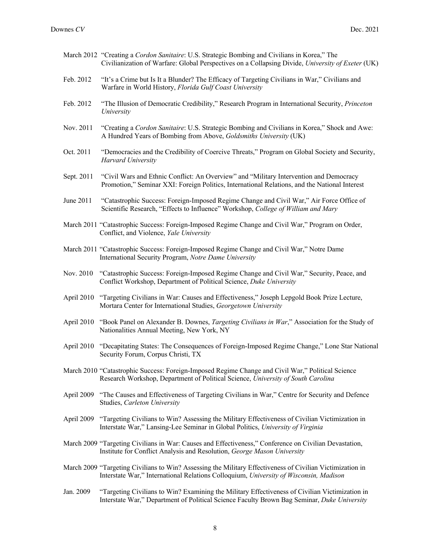- March 2012 "Creating a *Cordon Sanitaire*: U.S. Strategic Bombing and Civilians in Korea," The Civilianization of Warfare: Global Perspectives on a Collapsing Divide, *University of Exeter* (UK)
- Feb. 2012 "It's a Crime but Is It a Blunder? The Efficacy of Targeting Civilians in War," Civilians and Warfare in World History, *Florida Gulf Coast University*
- Feb. 2012 "The Illusion of Democratic Credibility," Research Program in International Security, *Princeton University*
- Nov. 2011 "Creating a *Cordon Sanitaire*: U.S. Strategic Bombing and Civilians in Korea," Shock and Awe: A Hundred Years of Bombing from Above, *Goldsmiths University* (UK)
- Oct. 2011 "Democracies and the Credibility of Coercive Threats," Program on Global Society and Security, *Harvard University*
- Sept. 2011 "Civil Wars and Ethnic Conflict: An Overview" and "Military Intervention and Democracy Promotion," Seminar XXI: Foreign Politics, International Relations, and the National Interest
- June 2011 "Catastrophic Success: Foreign-Imposed Regime Change and Civil War," Air Force Office of Scientific Research, "Effects to Influence" Workshop, *College of William and Mary*
- March 2011 "Catastrophic Success: Foreign-Imposed Regime Change and Civil War," Program on Order, Conflict, and Violence, *Yale University*
- March 2011 "Catastrophic Success: Foreign-Imposed Regime Change and Civil War," Notre Dame International Security Program, *Notre Dame University*
- Nov. 2010 "Catastrophic Success: Foreign-Imposed Regime Change and Civil War," Security, Peace, and Conflict Workshop, Department of Political Science, *Duke University*
- April 2010 "Targeting Civilians in War: Causes and Effectiveness," Joseph Lepgold Book Prize Lecture, Mortara Center for International Studies, *Georgetown University*
- April 2010 "Book Panel on Alexander B. Downes, *Targeting Civilians in War*," Association for the Study of Nationalities Annual Meeting, New York, NY
- April 2010 "Decapitating States: The Consequences of Foreign-Imposed Regime Change," Lone Star National Security Forum, Corpus Christi, TX
- March 2010 "Catastrophic Success: Foreign-Imposed Regime Change and Civil War," Political Science Research Workshop, Department of Political Science, *University of South Carolina*
- April 2009 "The Causes and Effectiveness of Targeting Civilians in War," Centre for Security and Defence Studies, *Carleton University*
- April 2009 "Targeting Civilians to Win? Assessing the Military Effectiveness of Civilian Victimization in Interstate War," Lansing-Lee Seminar in Global Politics, *University of Virginia*
- March 2009 "Targeting Civilians in War: Causes and Effectiveness," Conference on Civilian Devastation, Institute for Conflict Analysis and Resolution, *George Mason University*
- March 2009 "Targeting Civilians to Win? Assessing the Military Effectiveness of Civilian Victimization in Interstate War," International Relations Colloquium, *University of Wisconsin, Madison*
- Jan. 2009 "Targeting Civilians to Win? Examining the Military Effectiveness of Civilian Victimization in Interstate War," Department of Political Science Faculty Brown Bag Seminar, *Duke University*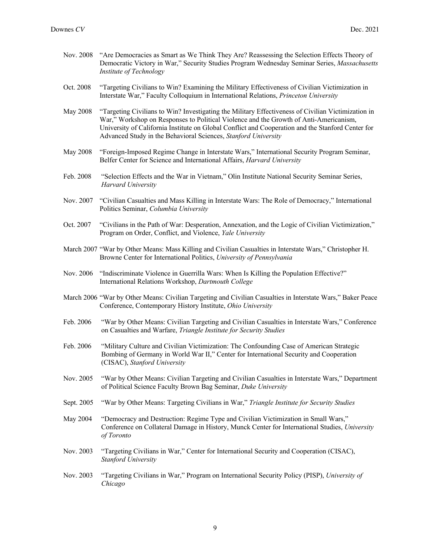| Nov. 2008       | "Are Democracies as Smart as We Think They Are? Reassessing the Selection Effects Theory of<br>Democratic Victory in War," Security Studies Program Wednesday Seminar Series, Massachusetts<br>Institute of Technology                                                                                                                                             |
|-----------------|--------------------------------------------------------------------------------------------------------------------------------------------------------------------------------------------------------------------------------------------------------------------------------------------------------------------------------------------------------------------|
| Oct. 2008       | "Targeting Civilians to Win? Examining the Military Effectiveness of Civilian Victimization in<br>Interstate War," Faculty Colloquium in International Relations, Princeton University                                                                                                                                                                             |
| <b>May 2008</b> | "Targeting Civilians to Win? Investigating the Military Effectiveness of Civilian Victimization in<br>War," Workshop on Responses to Political Violence and the Growth of Anti-Americanism,<br>University of California Institute on Global Conflict and Cooperation and the Stanford Center for<br>Advanced Study in the Behavioral Sciences, Stanford University |
| <b>May 2008</b> | "Foreign-Imposed Regime Change in Interstate Wars," International Security Program Seminar,<br>Belfer Center for Science and International Affairs, Harvard University                                                                                                                                                                                             |
| Feb. 2008       | "Selection Effects and the War in Vietnam," Olin Institute National Security Seminar Series,<br>Harvard University                                                                                                                                                                                                                                                 |
| Nov. 2007       | "Civilian Casualties and Mass Killing in Interstate Wars: The Role of Democracy," International<br>Politics Seminar, Columbia University                                                                                                                                                                                                                           |
| Oct. 2007       | "Civilians in the Path of War: Desperation, Annexation, and the Logic of Civilian Victimization,"<br>Program on Order, Conflict, and Violence, Yale University                                                                                                                                                                                                     |
|                 | March 2007 "War by Other Means: Mass Killing and Civilian Casualties in Interstate Wars," Christopher H.<br>Browne Center for International Politics, University of Pennsylvania                                                                                                                                                                                   |
| Nov. 2006       | "Indiscriminate Violence in Guerrilla Wars: When Is Killing the Population Effective?"<br>International Relations Workshop, Dartmouth College                                                                                                                                                                                                                      |
|                 | March 2006 "War by Other Means: Civilian Targeting and Civilian Casualties in Interstate Wars," Baker Peace<br>Conference, Contemporary History Institute, Ohio University                                                                                                                                                                                         |
| Feb. 2006       | "War by Other Means: Civilian Targeting and Civilian Casualties in Interstate Wars," Conference<br>on Casualties and Warfare, Triangle Institute for Security Studies                                                                                                                                                                                              |
| Feb. 2006       | "Military Culture and Civilian Victimization: The Confounding Case of American Strategic<br>Bombing of Germany in World War II," Center for International Security and Cooperation<br>(CISAC), Stanford University                                                                                                                                                 |
| Nov. 2005       | "War by Other Means: Civilian Targeting and Civilian Casualties in Interstate Wars," Department<br>of Political Science Faculty Brown Bag Seminar, Duke University                                                                                                                                                                                                 |
| Sept. 2005      | "War by Other Means: Targeting Civilians in War," Triangle Institute for Security Studies                                                                                                                                                                                                                                                                          |
| May 2004        | "Democracy and Destruction: Regime Type and Civilian Victimization in Small Wars,"<br>Conference on Collateral Damage in History, Munck Center for International Studies, University<br>of Toronto                                                                                                                                                                 |
| Nov. 2003       | "Targeting Civilians in War," Center for International Security and Cooperation (CISAC),<br><b>Stanford University</b>                                                                                                                                                                                                                                             |
| Nov. 2003       | "Targeting Civilians in War," Program on International Security Policy (PISP), University of<br>Chicago                                                                                                                                                                                                                                                            |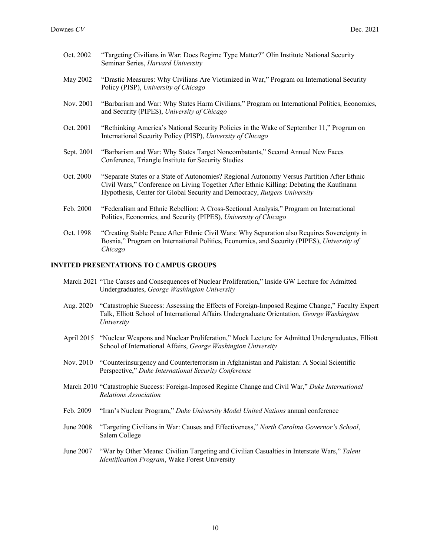- Oct. 2002 "Targeting Civilians in War: Does Regime Type Matter?" Olin Institute National Security Seminar Series, *Harvard University*
- May 2002 "Drastic Measures: Why Civilians Are Victimized in War," Program on International Security Policy (PISP), *University of Chicago*
- Nov. 2001 "Barbarism and War: Why States Harm Civilians," Program on International Politics, Economics, and Security (PIPES), *University of Chicago*
- Oct. 2001 "Rethinking America's National Security Policies in the Wake of September 11," Program on International Security Policy (PISP), *University of Chicago*
- Sept. 2001 "Barbarism and War: Why States Target Noncombatants," Second Annual New Faces Conference, Triangle Institute for Security Studies
- Oct. 2000 "Separate States or a State of Autonomies? Regional Autonomy Versus Partition After Ethnic Civil Wars," Conference on Living Together After Ethnic Killing: Debating the Kaufmann Hypothesis, Center for Global Security and Democracy, *Rutgers University*
- Feb. 2000 "Federalism and Ethnic Rebellion: A Cross-Sectional Analysis," Program on International Politics, Economics, and Security (PIPES), *University of Chicago*
- Oct. 1998 "Creating Stable Peace After Ethnic Civil Wars: Why Separation also Requires Sovereignty in Bosnia," Program on International Politics, Economics, and Security (PIPES), *University of Chicago*

#### **INVITED PRESENTATIONS TO CAMPUS GROUPS**

- March 2021 "The Causes and Consequences of Nuclear Proliferation," Inside GW Lecture for Admitted Undergraduates, *George Washington University*
- Aug. 2020 "Catastrophic Success: Assessing the Effects of Foreign-Imposed Regime Change," Faculty Expert Talk, Elliott School of International Affairs Undergraduate Orientation, *George Washington University*
- April 2015 "Nuclear Weapons and Nuclear Proliferation," Mock Lecture for Admitted Undergraduates, Elliott School of International Affairs, *George Washington University*
- Nov. 2010 "Counterinsurgency and Counterterrorism in Afghanistan and Pakistan: A Social Scientific Perspective," *Duke International Security Conference*
- March 2010 "Catastrophic Success: Foreign-Imposed Regime Change and Civil War," *Duke International Relations Association*
- Feb. 2009 "Iran's Nuclear Program," *Duke University Model United Nations* annual conference
- June 2008 "Targeting Civilians in War: Causes and Effectiveness," *North Carolina Governor's School*, Salem College
- June 2007 "War by Other Means: Civilian Targeting and Civilian Casualties in Interstate Wars," *Talent Identification Program*, Wake Forest University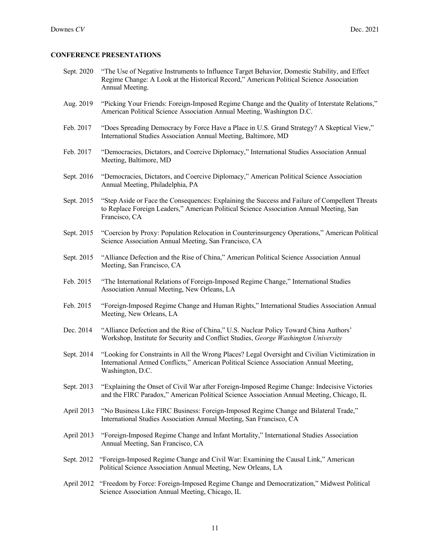### **CONFERENCE PRESENTATIONS**

- Sept. 2020 "The Use of Negative Instruments to Influence Target Behavior, Domestic Stability, and Effect Regime Change: A Look at the Historical Record," American Political Science Association Annual Meeting.
- Aug. 2019 "Picking Your Friends: Foreign-Imposed Regime Change and the Quality of Interstate Relations," American Political Science Association Annual Meeting, Washington D.C.
- Feb. 2017 "Does Spreading Democracy by Force Have a Place in U.S. Grand Strategy? A Skeptical View," International Studies Association Annual Meeting, Baltimore, MD
- Feb. 2017 "Democracies, Dictators, and Coercive Diplomacy," International Studies Association Annual Meeting, Baltimore, MD
- Sept. 2016 "Democracies, Dictators, and Coercive Diplomacy," American Political Science Association Annual Meeting, Philadelphia, PA
- Sept. 2015 "Step Aside or Face the Consequences: Explaining the Success and Failure of Compellent Threats to Replace Foreign Leaders," American Political Science Association Annual Meeting, San Francisco, CA
- Sept. 2015 "Coercion by Proxy: Population Relocation in Counterinsurgency Operations," American Political Science Association Annual Meeting, San Francisco, CA
- Sept. 2015 "Alliance Defection and the Rise of China," American Political Science Association Annual Meeting, San Francisco, CA
- Feb. 2015 "The International Relations of Foreign-Imposed Regime Change," International Studies Association Annual Meeting, New Orleans, LA
- Feb. 2015 "Foreign-Imposed Regime Change and Human Rights," International Studies Association Annual Meeting, New Orleans, LA
- Dec. 2014 "Alliance Defection and the Rise of China," U.S. Nuclear Policy Toward China Authors' Workshop, Institute for Security and Conflict Studies, *George Washington University*
- Sept. 2014 "Looking for Constraints in All the Wrong Places? Legal Oversight and Civilian Victimization in International Armed Conflicts," American Political Science Association Annual Meeting, Washington, D.C.
- Sept. 2013 "Explaining the Onset of Civil War after Foreign-Imposed Regime Change: Indecisive Victories and the FIRC Paradox," American Political Science Association Annual Meeting, Chicago, IL
- April 2013 "No Business Like FIRC Business: Foreign-Imposed Regime Change and Bilateral Trade," International Studies Association Annual Meeting, San Francisco, CA
- April 2013 "Foreign-Imposed Regime Change and Infant Mortality," International Studies Association Annual Meeting, San Francisco, CA
- Sept. 2012 "Foreign-Imposed Regime Change and Civil War: Examining the Causal Link," American Political Science Association Annual Meeting, New Orleans, LA
- April 2012 "Freedom by Force: Foreign-Imposed Regime Change and Democratization," Midwest Political Science Association Annual Meeting, Chicago, IL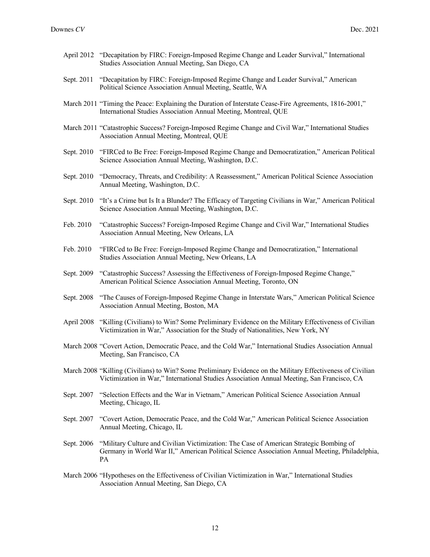- April 2012 "Decapitation by FIRC: Foreign-Imposed Regime Change and Leader Survival," International Studies Association Annual Meeting, San Diego, CA
- Sept. 2011 "Decapitation by FIRC: Foreign-Imposed Regime Change and Leader Survival," American Political Science Association Annual Meeting, Seattle, WA
- March 2011 "Timing the Peace: Explaining the Duration of Interstate Cease-Fire Agreements, 1816-2001," International Studies Association Annual Meeting, Montreal, QUE
- March 2011 "Catastrophic Success? Foreign-Imposed Regime Change and Civil War," International Studies Association Annual Meeting, Montreal, QUE
- Sept. 2010 "FIRCed to Be Free: Foreign-Imposed Regime Change and Democratization," American Political Science Association Annual Meeting, Washington, D.C.
- Sept. 2010 "Democracy, Threats, and Credibility: A Reassessment," American Political Science Association Annual Meeting, Washington, D.C.
- Sept. 2010 "It's a Crime but Is It a Blunder? The Efficacy of Targeting Civilians in War," American Political Science Association Annual Meeting, Washington, D.C.
- Feb. 2010 "Catastrophic Success? Foreign-Imposed Regime Change and Civil War," International Studies Association Annual Meeting, New Orleans, LA
- Feb. 2010 "FIRCed to Be Free: Foreign-Imposed Regime Change and Democratization," International Studies Association Annual Meeting, New Orleans, LA
- Sept. 2009 "Catastrophic Success? Assessing the Effectiveness of Foreign-Imposed Regime Change," American Political Science Association Annual Meeting, Toronto, ON
- Sept. 2008 "The Causes of Foreign-Imposed Regime Change in Interstate Wars," American Political Science Association Annual Meeting, Boston, MA
- April 2008 "Killing (Civilians) to Win? Some Preliminary Evidence on the Military Effectiveness of Civilian Victimization in War," Association for the Study of Nationalities, New York, NY
- March 2008 "Covert Action, Democratic Peace, and the Cold War," International Studies Association Annual Meeting, San Francisco, CA
- March 2008 "Killing (Civilians) to Win? Some Preliminary Evidence on the Military Effectiveness of Civilian Victimization in War," International Studies Association Annual Meeting, San Francisco, CA
- Sept. 2007 "Selection Effects and the War in Vietnam," American Political Science Association Annual Meeting, Chicago, IL
- Sept. 2007 "Covert Action, Democratic Peace, and the Cold War," American Political Science Association Annual Meeting, Chicago, IL
- Sept. 2006 "Military Culture and Civilian Victimization: The Case of American Strategic Bombing of Germany in World War II," American Political Science Association Annual Meeting, Philadelphia, PA
- March 2006 "Hypotheses on the Effectiveness of Civilian Victimization in War," International Studies Association Annual Meeting, San Diego, CA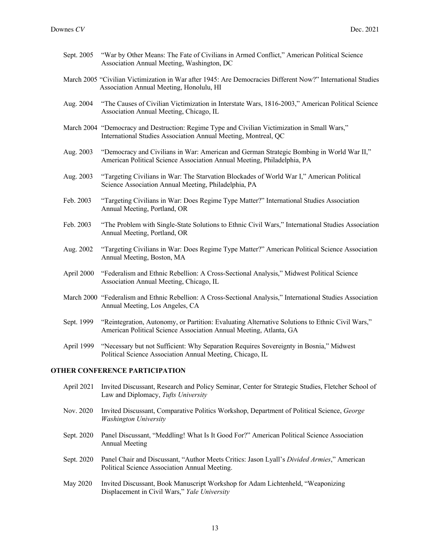- Sept. 2005 "War by Other Means: The Fate of Civilians in Armed Conflict," American Political Science Association Annual Meeting, Washington, DC
- March 2005 "Civilian Victimization in War after 1945: Are Democracies Different Now?" International Studies Association Annual Meeting, Honolulu, HI
- Aug. 2004 "The Causes of Civilian Victimization in Interstate Wars, 1816-2003," American Political Science Association Annual Meeting, Chicago, IL
- March 2004 "Democracy and Destruction: Regime Type and Civilian Victimization in Small Wars," International Studies Association Annual Meeting, Montreal, QC
- Aug. 2003 "Democracy and Civilians in War: American and German Strategic Bombing in World War II," American Political Science Association Annual Meeting, Philadelphia, PA
- Aug. 2003 "Targeting Civilians in War: The Starvation Blockades of World War I," American Political Science Association Annual Meeting, Philadelphia, PA
- Feb. 2003 "Targeting Civilians in War: Does Regime Type Matter?" International Studies Association Annual Meeting, Portland, OR
- Feb. 2003 "The Problem with Single-State Solutions to Ethnic Civil Wars," International Studies Association Annual Meeting, Portland, OR
- Aug. 2002 "Targeting Civilians in War: Does Regime Type Matter?" American Political Science Association Annual Meeting, Boston, MA
- April 2000 "Federalism and Ethnic Rebellion: A Cross-Sectional Analysis," Midwest Political Science Association Annual Meeting, Chicago, IL
- March 2000 "Federalism and Ethnic Rebellion: A Cross-Sectional Analysis," International Studies Association Annual Meeting, Los Angeles, CA
- Sept. 1999 "Reintegration, Autonomy, or Partition: Evaluating Alternative Solutions to Ethnic Civil Wars," American Political Science Association Annual Meeting, Atlanta, GA
- April 1999 "Necessary but not Sufficient: Why Separation Requires Sovereignty in Bosnia," Midwest Political Science Association Annual Meeting, Chicago, IL

## **OTHER CONFERENCE PARTICIPATION**

- April 2021 Invited Discussant, Research and Policy Seminar, Center for Strategic Studies, Fletcher School of Law and Diplomacy, *Tufts University*
- Nov. 2020 Invited Discussant, Comparative Politics Workshop, Department of Political Science, *George Washington University*
- Sept. 2020 Panel Discussant, "Meddling! What Is It Good For?" American Political Science Association Annual Meeting
- Sept. 2020 Panel Chair and Discussant, "Author Meets Critics: Jason Lyall's *Divided Armies*," American Political Science Association Annual Meeting.
- May 2020 Invited Discussant, Book Manuscript Workshop for Adam Lichtenheld, "Weaponizing Displacement in Civil Wars," *Yale University*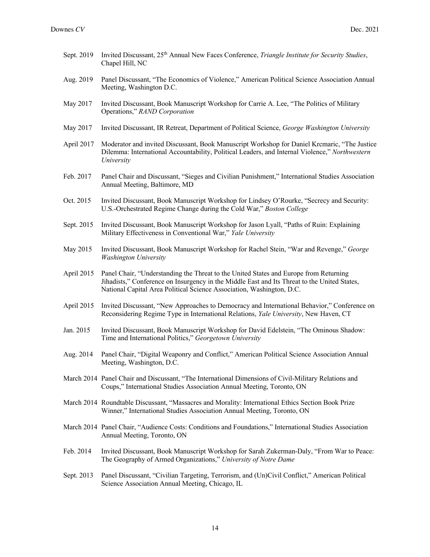| Sept. 2019 | Invited Discussant, 25 <sup>th</sup> Annual New Faces Conference, <i>Triangle Institute for Security Studies</i> ,<br>Chapel Hill, NC                                                                                                                          |
|------------|----------------------------------------------------------------------------------------------------------------------------------------------------------------------------------------------------------------------------------------------------------------|
| Aug. 2019  | Panel Discussant, "The Economics of Violence," American Political Science Association Annual<br>Meeting, Washington D.C.                                                                                                                                       |
| May 2017   | Invited Discussant, Book Manuscript Workshop for Carrie A. Lee, "The Politics of Military<br>Operations," RAND Corporation                                                                                                                                     |
| May 2017   | Invited Discussant, IR Retreat, Department of Political Science, George Washington University                                                                                                                                                                  |
| April 2017 | Moderator and invited Discussant, Book Manuscript Workshop for Daniel Krcmaric, "The Justice<br>Dilemma: International Accountability, Political Leaders, and Internal Violence," Northwestern<br>University                                                   |
| Feb. 2017  | Panel Chair and Discussant, "Sieges and Civilian Punishment," International Studies Association<br>Annual Meeting, Baltimore, MD                                                                                                                               |
| Oct. 2015  | Invited Discussant, Book Manuscript Workshop for Lindsey O'Rourke, "Secrecy and Security:<br>U.S.-Orchestrated Regime Change during the Cold War," Boston College                                                                                              |
| Sept. 2015 | Invited Discussant, Book Manuscript Workshop for Jason Lyall, "Paths of Ruin: Explaining<br>Military Effectiveness in Conventional War," Yale University                                                                                                       |
| May 2015   | Invited Discussant, Book Manuscript Workshop for Rachel Stein, "War and Revenge," George<br><b>Washington University</b>                                                                                                                                       |
| April 2015 | Panel Chair, "Understanding the Threat to the United States and Europe from Returning<br>Jihadists," Conference on Insurgency in the Middle East and Its Threat to the United States,<br>National Capital Area Political Science Association, Washington, D.C. |
| April 2015 | Invited Discussant, "New Approaches to Democracy and International Behavior," Conference on<br>Reconsidering Regime Type in International Relations, Yale University, New Haven, CT                                                                            |
| Jan. 2015  | Invited Discussant, Book Manuscript Workshop for David Edelstein, "The Ominous Shadow:<br>Time and International Politics," Georgetown University                                                                                                              |
| Aug. 2014  | Panel Chair, "Digital Weaponry and Conflict," American Political Science Association Annual<br>Meeting, Washington, D.C.                                                                                                                                       |
|            | March 2014 Panel Chair and Discussant, "The International Dimensions of Civil-Military Relations and<br>Coups," International Studies Association Annual Meeting, Toronto, ON                                                                                  |
|            | March 2014 Roundtable Discussant, "Massacres and Morality: International Ethics Section Book Prize<br>Winner," International Studies Association Annual Meeting, Toronto, ON                                                                                   |
|            | March 2014 Panel Chair, "Audience Costs: Conditions and Foundations," International Studies Association<br>Annual Meeting, Toronto, ON                                                                                                                         |
| Feb. 2014  | Invited Discussant, Book Manuscript Workshop for Sarah Zukerman-Daly, "From War to Peace:<br>The Geography of Armed Organizations," University of Notre Dame                                                                                                   |
| Sept. 2013 | Panel Discussant, "Civilian Targeting, Terrorism, and (Un)Civil Conflict," American Political<br>Science Association Annual Meeting, Chicago, IL                                                                                                               |
|            |                                                                                                                                                                                                                                                                |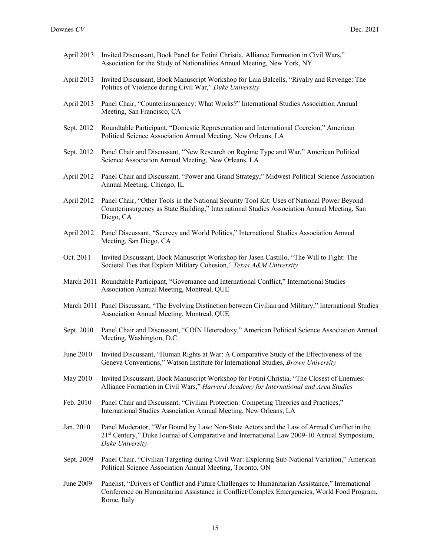- April 2013 Invited Discussant, Book Panel for Fotini Christia, Alliance Formation in Civil Wars," Association for the Study of Nationalities Annual Meeting, New York, NY
- April 2013 Invited Discussant, Book Manuscript Workshop for Laia Balcells, "Rivalry and Revenge: The Politics of Violence during Civil War," *Duke University*
- April 2013 Panel Chair, "Counterinsurgency: What Works?" International Studies Association Annual Meeting, San Francisco, CA
- Sept. 2012 Roundtable Participant, "Domestic Representation and International Coercion," American Political Science Association Annual Meeting, New Orleans, LA
- Sept. 2012 Panel Chair and Discussant, "New Research on Regime Type and War," American Political Science Association Annual Meeting, New Orleans, LA
- April 2012 Panel Chair and Discussant, "Power and Grand Strategy," Midwest Political Science Association Annual Meeting, Chicago, IL
- April 2012 Panel Chair, "Other Tools in the National Security Tool Kit: Uses of National Power Beyond Counterinsurgency as State Building," International Studies Association Annual Meeting, San Diego, CA
- April 2012 Panel Discussant, "Secrecy and World Politics," International Studies Association Annual Meeting, San Diego, CA
- Oct. 2011 Invited Discussant, Book Manuscript Workshop for Jasen Castillo, "The Will to Fight: The Societal Ties that Explain Military Cohesion," *Texas A&M University*
- March 2011 Roundtable Participant, "Governance and International Conflict," International Studies Association Annual Meeting, Montreal, QUE
- March 2011 Panel Discussant, "The Evolving Distinction between Civilian and Military," International Studies Association Annual Meeting, Montreal, QUE
- Sept. 2010 Panel Chair and Discussant, "COIN Heterodoxy," American Political Science Association Annual Meeting, Washington, D.C.
- June 2010 Invited Discussant, "Human Rights at War: A Comparative Study of the Effectiveness of the Geneva Conventions," Watson Institute for International Studies, *Brown University*
- May 2010 Invited Discussant, Book Manuscript Workshop for Fotini Christia, "The Closest of Enemies: Alliance Formation in Civil Wars," *Harvard Academy for International and Area Studies*
- Feb. 2010 Panel Chair and Discussant, "Civilian Protection: Competing Theories and Practices," International Studies Association Annual Meeting, New Orleans, LA
- Jan. 2010 Panel Moderator, "War Bound by Law: Non-State Actors and the Law of Armed Conflict in the 21st Century," Duke Journal of Comparative and International Law 2009-10 Annual Symposium, *Duke University*
- Sept. 2009 Panel Chair, "Civilian Targeting during Civil War: Exploring Sub-National Variation," American Political Science Association Annual Meeting, Toronto, ON
- June 2009 Panelist, "Drivers of Conflict and Future Challenges to Humanitarian Assistance," International Conference on Humanitarian Assistance in Conflict/Complex Emergencies, World Food Program, Rome, Italy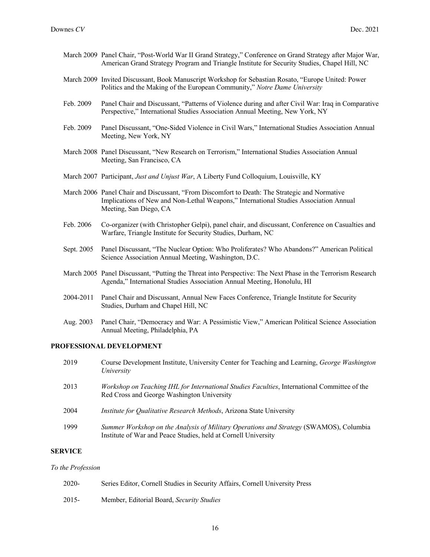- March 2009 Panel Chair, "Post-World War II Grand Strategy," Conference on Grand Strategy after Major War, American Grand Strategy Program and Triangle Institute for Security Studies, Chapel Hill, NC
- March 2009 Invited Discussant, Book Manuscript Workshop for Sebastian Rosato, "Europe United: Power Politics and the Making of the European Community," *Notre Dame University*
- Feb. 2009 Panel Chair and Discussant, "Patterns of Violence during and after Civil War: Iraq in Comparative Perspective," International Studies Association Annual Meeting, New York, NY
- Feb. 2009 Panel Discussant, "One-Sided Violence in Civil Wars," International Studies Association Annual Meeting, New York, NY
- March 2008 Panel Discussant, "New Research on Terrorism," International Studies Association Annual Meeting, San Francisco, CA
- March 2007 Participant, *Just and Unjust War*, A Liberty Fund Colloquium, Louisville, KY
- March 2006 Panel Chair and Discussant, "From Discomfort to Death: The Strategic and Normative Implications of New and Non-Lethal Weapons," International Studies Association Annual Meeting, San Diego, CA
- Feb. 2006 Co-organizer (with Christopher Gelpi), panel chair, and discussant, Conference on Casualties and Warfare, Triangle Institute for Security Studies, Durham, NC
- Sept. 2005 Panel Discussant, "The Nuclear Option: Who Proliferates? Who Abandons?" American Political Science Association Annual Meeting, Washington, D.C.
- March 2005 Panel Discussant, "Putting the Threat into Perspective: The Next Phase in the Terrorism Research Agenda," International Studies Association Annual Meeting, Honolulu, HI
- 2004-2011 Panel Chair and Discussant, Annual New Faces Conference, Triangle Institute for Security Studies, Durham and Chapel Hill, NC
- Aug. 2003 Panel Chair, "Democracy and War: A Pessimistic View," American Political Science Association Annual Meeting, Philadelphia, PA

## **PROFESSIONAL DEVELOPMENT**

2019 Course Development Institute, University Center for Teaching and Learning, *George Washington University* 2013 *Workshop on Teaching IHL for International Studies Faculties*, International Committee of the Red Cross and George Washington University 2004 *Institute for Qualitative Research Methods*, Arizona State University 1999 *Summer Workshop on the Analysis of Military Operations and Strategy* (SWAMOS), Columbia Institute of War and Peace Studies, held at Cornell University

#### **SERVICE**

#### *To the Profession*

| $2020 -$ | Series Editor, Cornell Studies in Security Affairs, Cornell University Press |
|----------|------------------------------------------------------------------------------|
| 2015-    | Member, Editorial Board, Security Studies                                    |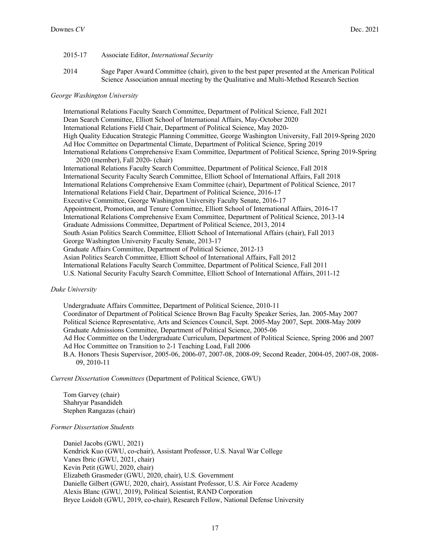- 2015-17 Associate Editor, *International Security*
- 2014 Sage Paper Award Committee (chair), given to the best paper presented at the American Political Science Association annual meeting by the Qualitative and Multi-Method Research Section

#### *George Washington University*

International Relations Faculty Search Committee, Department of Political Science, Fall 2021 Dean Search Committee, Elliott School of International Affairs, May-October 2020 International Relations Field Chair, Department of Political Science, May 2020- High Quality Education Strategic Planning Committee, George Washington University, Fall 2019-Spring 2020 Ad Hoc Committee on Departmental Climate, Department of Political Science, Spring 2019 International Relations Comprehensive Exam Committee, Department of Political Science, Spring 2019-Spring 2020 (member), Fall 2020- (chair) International Relations Faculty Search Committee, Department of Political Science, Fall 2018 International Security Faculty Search Committee, Elliott School of International Affairs, Fall 2018 International Relations Comprehensive Exam Committee (chair), Department of Political Science, 2017 International Relations Field Chair, Department of Political Science, 2016-17 Executive Committee, George Washington University Faculty Senate, 2016-17 Appointment, Promotion, and Tenure Committee, Elliott School of International Affairs, 2016-17 International Relations Comprehensive Exam Committee, Department of Political Science, 2013-14 Graduate Admissions Committee, Department of Political Science, 2013, 2014 South Asian Politics Search Committee, Elliott School of International Affairs (chair), Fall 2013 George Washington University Faculty Senate, 2013-17 Graduate Affairs Committee, Department of Political Science, 2012-13 Asian Politics Search Committee, Elliott School of International Affairs, Fall 2012 International Relations Faculty Search Committee, Department of Political Science, Fall 2011 U.S. National Security Faculty Search Committee, Elliott School of International Affairs, 2011-12

*Duke University*

Undergraduate Affairs Committee, Department of Political Science, 2010-11 Coordinator of Department of Political Science Brown Bag Faculty Speaker Series, Jan. 2005-May 2007 Political Science Representative, Arts and Sciences Council, Sept. 2005-May 2007, Sept. 2008-May 2009 Graduate Admissions Committee, Department of Political Science, 2005-06 Ad Hoc Committee on the Undergraduate Curriculum, Department of Political Science, Spring 2006 and 2007 Ad Hoc Committee on Transition to 2-1 Teaching Load, Fall 2006 B.A. Honors Thesis Supervisor, 2005-06, 2006-07, 2007-08, 2008-09; Second Reader, 2004-05, 2007-08, 2008- 09, 2010-11

*Current Dissertation Committees* (Department of Political Science, GWU)

Tom Garvey (chair) Shahryar Pasandideh Stephen Rangazas (chair)

*Former Dissertation Students*

Daniel Jacobs (GWU, 2021) Kendrick Kuo (GWU, co-chair), Assistant Professor, U.S. Naval War College Vanes Ibric (GWU, 2021, chair) Kevin Petit (GWU, 2020, chair) Elizabeth Grasmeder (GWU, 2020, chair), U.S. Government Danielle Gilbert (GWU, 2020, chair), Assistant Professor, U.S. Air Force Academy Alexis Blanc (GWU, 2019), Political Scientist, RAND Corporation Bryce Loidolt (GWU, 2019, co-chair), Research Fellow, National Defense University